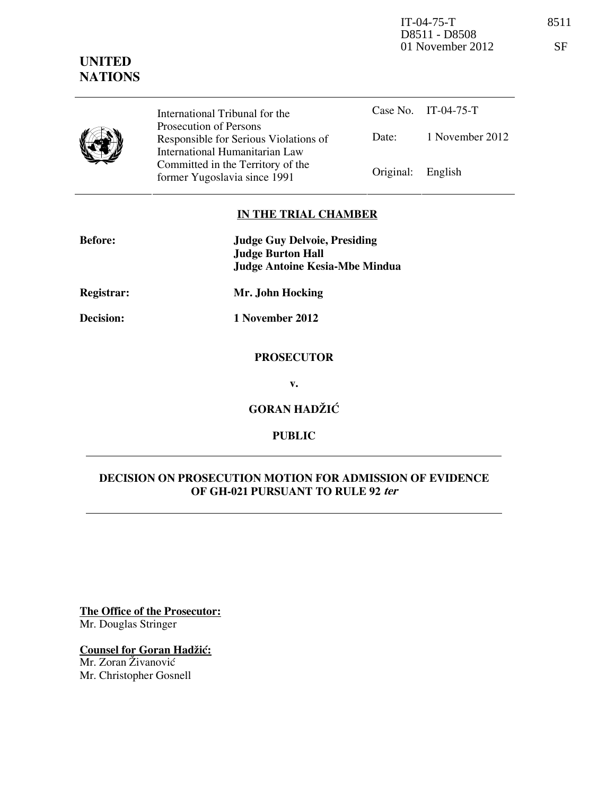IT-04-75-T 8511 D8511 - D8508 01 November 2012 SF

# **UNITED NATIONS**

|  |  | . .<br>۰, |
|--|--|-----------|
|  |  |           |
|  |  |           |
|  |  |           |

International Tribunal for the Prosecution of Persons Responsible for Serious Violations of International Humanitarian Law Committed in the Territory of the

Case No. IT-04-75-T Date: 1 November 2012 Former Yugoslavia since 1991 Original: English

# **IN THE TRIAL CHAMBER**

| <b>Before:</b>    | <b>Judge Guy Delvoie, Presiding</b><br><b>Judge Burton Hall</b><br><b>Judge Antoine Kesia-Mbe Mindua</b> |  |  |
|-------------------|----------------------------------------------------------------------------------------------------------|--|--|
| <b>Registrar:</b> | Mr. John Hocking                                                                                         |  |  |
| Decision:         | 1 November 2012                                                                                          |  |  |
|                   | <b>PROSECUTOR</b>                                                                                        |  |  |
|                   | v.                                                                                                       |  |  |
|                   | $\alpha$ on $\alpha$                                                                                     |  |  |

**GORAN HADZIC** 

**PUBLIC** 

# **DECISION ON PROSECUTION MOTION FOR ADMISSION OF EVIDENCE OF GH-021 PURSUANT TO RULE 92 ter**

**The Office of the Prosecutor:** Mr. Douglas Stringer

**Counsel for Goran Hadžić:** 

Mr. Zoran Živanović Mr. Christopher Gosnell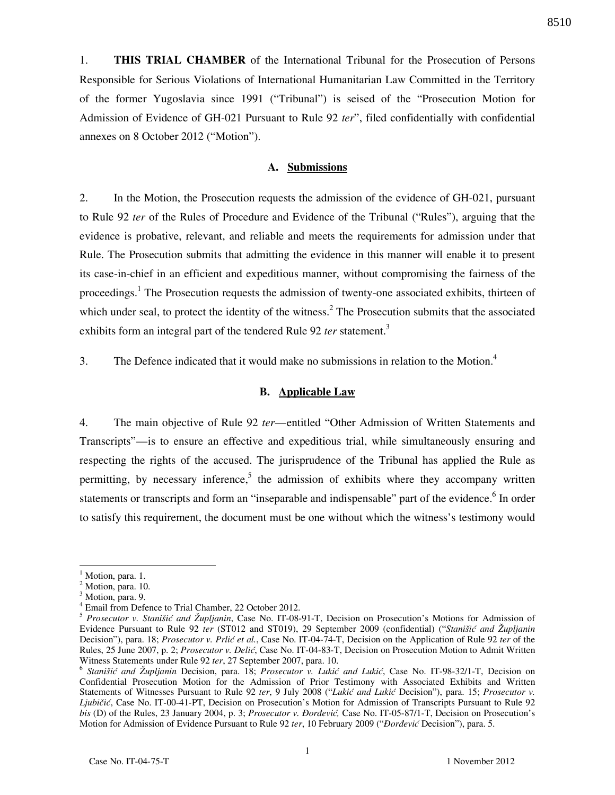1. **THIS TRIAL CHAMBER** of the International Tribunal for the Prosecution of Persons Responsible for Serious Violations of International Humanitarian Law Committed in the Territory of the former Yugoslavia since 1991 ("Tribunal") is seised of the "Prosecution Motion for Admission of Evidence of GH-021 Pursuant to Rule 92 *ter*", filed confidentially with confidential annexes on 8 October 2012 ("Motion").

## **A. Submissions**

2. In the Motion, the Prosecution requests the admission of the evidence of GH-021, pursuant to Rule 92 *ter* of the Rules of Procedure and Evidence of the Tribunal ("Rules"), arguing that the evidence is probative, relevant, and reliable and meets the requirements for admission under that Rule. The Prosecution submits that admitting the evidence in this manner will enable it to present its case-in-chief in an efficient and expeditious manner, without compromising the fairness of the proceedings.<sup>1</sup> The Prosecution requests the admission of twenty-one associated exhibits, thirteen of which under seal, to protect the identity of the witness.<sup>2</sup> The Prosecution submits that the associated exhibits form an integral part of the tendered Rule 92 *ter* statement.<sup>3</sup>

3. The Defence indicated that it would make no submissions in relation to the Motion.<sup>4</sup>

#### **B. Applicable Law**

4. The main objective of Rule 92 *ter*—entitled "Other Admission of Written Statements and Transcripts"—is to ensure an effective and expeditious trial, while simultaneously ensuring and respecting the rights of the accused. The jurisprudence of the Tribunal has applied the Rule as permitting, by necessary inference,<sup>5</sup> the admission of exhibits where they accompany written statements or transcripts and form an "inseparable and indispensable" part of the evidence. <sup>6</sup> In order to satisfy this requirement, the document must be one without which the witness's testimony would

 $\overline{a}$ 

 $<sup>1</sup>$  Motion, para. 1.</sup>

 $<sup>2</sup>$  Motion, para. 10.</sup>

<sup>&</sup>lt;sup>3</sup> Motion, para. 9.

<sup>4</sup> Email from Defence to Trial Chamber, 22 October 2012.

<sup>5</sup> *Prosecutor v. Stanišić and Župljanin*, Case No. IT-08-91-T, Decision on Prosecution's Motions for Admission of Evidence Pursuant to Rule 92 *ter* (ST012 and ST019), 29 September 2009 (confidential) ("*Stanišić and Župljanin* Decision"), para. 18; *Prosecutor v. Prlić et al.*, Case No. IT-04-74-T, Decision on the Application of Rule 92 *ter* of the Rules, 25 June 2007, p. 2; *Prosecutor v. Delić*, Case No. IT-04-83-T, Decision on Prosecution Motion to Admit Written Witness Statements under Rule 92 *ter*, 27 September 2007, para. 10.

<sup>&</sup>lt;sup>6</sup> Stanišić and Župljanin Decision, para. 18; Prosecutor v. Lukić and Lukić, Case No. IT-98-32/1-T, Decision on Confidential Prosecution Motion for the Admission of Prior Testimony with Associated Exhibits and Written Statements of Witnesses Pursuant to Rule 92 ter, 9 July 2008 ("Lukić and Lukić Decision"), para. 15; *Prosecutor v. Ljubičić*, Case No. IT-00-41-PT, Decision on Prosecution's Motion for Admission of Transcripts Pursuant to Rule 92 *bis* (D) of the Rules, 23 January 2004, p. 3; *Prosecutor v. Đorđević*, Case No. IT-05-87/1-T, Decision on Prosecution's Motion for Admission of Evidence Pursuant to Rule 92 ter, 10 February 2009 ("*Đorđević* Decision"), para. 5.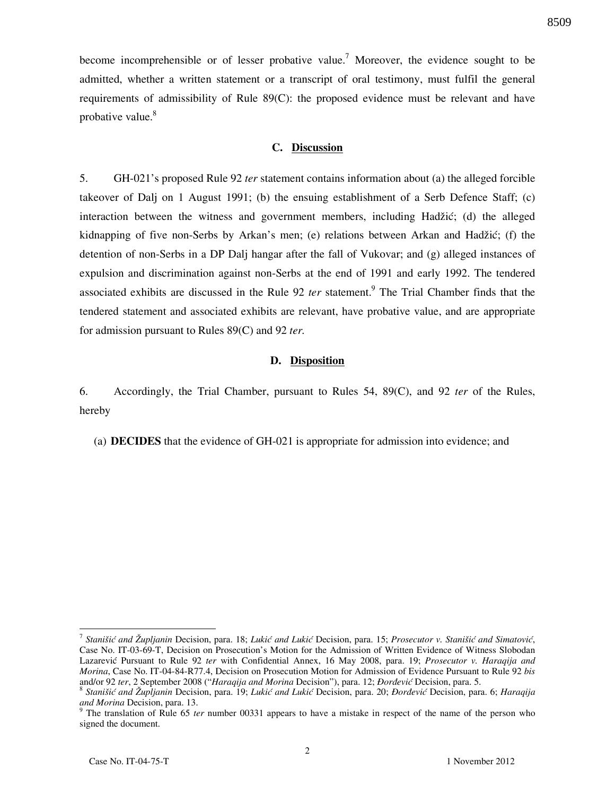become incomprehensible or of lesser probative value.<sup>7</sup> Moreover, the evidence sought to be admitted, whether a written statement or a transcript of oral testimony, must fulfil the general requirements of admissibility of Rule 89(C): the proposed evidence must be relevant and have probative value.<sup>8</sup>

### **C. Discussion**

5. GH-021's proposed Rule 92 *ter* statement contains information about (a) the alleged forcible takeover of Dalj on 1 August 1991; (b) the ensuing establishment of a Serb Defence Staff; (c) interaction between the witness and government members, including Hadžić; (d) the alleged kidnapping of five non-Serbs by Arkan's men; (e) relations between Arkan and Hadžić; (f) the detention of non-Serbs in a DP Dalj hangar after the fall of Vukovar; and (g) alleged instances of expulsion and discrimination against non-Serbs at the end of 1991 and early 1992. The tendered associated exhibits are discussed in the Rule 92 *ter* statement.<sup>9</sup> The Trial Chamber finds that the tendered statement and associated exhibits are relevant, have probative value, and are appropriate for admission pursuant to Rules 89(C) and 92 *ter.* 

### **D. Disposition**

6. Accordingly, the Trial Chamber, pursuant to Rules 54, 89(C), and 92 *ter* of the Rules, hereby

(a) **DECIDES** that the evidence of GH-021 is appropriate for admission into evidence; and

 $\overline{a}$ 

<sup>&</sup>lt;sup>7</sup> Stanišić and Župljanin Decision, para. 18; Lukić and Lukić Decision, para. 15; Prosecutor v. Stanišić and Simatović, Case No. IT-03-69-T, Decision on Prosecution's Motion for the Admission of Written Evidence of Witness Slobodan Lazarevi} Pursuant to Rule 92 *ter* with Confidential Annex, 16 May 2008, para. 19; *Prosecutor v. Haraqija and Morina*, Case No. IT-04-84-R77.4, Decision on Prosecution Motion for Admission of Evidence Pursuant to Rule 92 *bis* and/or 92 ter, 2 September 2008 ("*Haraqija and Morina Decision*"), para. 12; *Đorđević Decision*, para. 5.

<sup>&</sup>lt;sup>8</sup> Stanišić and Župljanin Decision, para. 19; Lukić and Lukić Decision, para. 20; *Đorđević* Decision, para. 6; *Haraqija and Morina* Decision, para. 13.

<sup>&</sup>lt;sup>9</sup> The translation of Rule 65 *ter* number 00331 appears to have a mistake in respect of the name of the person who signed the document.